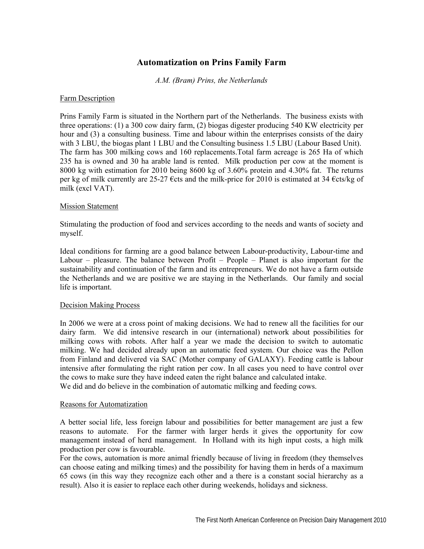# **Automatization on Prins Family Farm**

*A.M. (Bram) Prins, the Netherlands* 

## Farm Description

Prins Family Farm is situated in the Northern part of the Netherlands. The business exists with three operations: (1) a 300 cow dairy farm, (2) biogas digester producing 540 KW electricity per hour and (3) a consulting business. Time and labour within the enterprises consists of the dairy with 3 LBU, the biogas plant 1 LBU and the Consulting business 1.5 LBU (Labour Based Unit). The farm has 300 milking cows and 160 replacements.Total farm acreage is 265 Ha of which 235 ha is owned and 30 ha arable land is rented. Milk production per cow at the moment is 8000 kg with estimation for 2010 being 8600 kg of 3.60% protein and 4.30% fat. The returns per kg of milk currently are 25-27 €cts and the milk-price for 2010 is estimated at 34 €cts/kg of milk (excl VAT).

#### Mission Statement

Stimulating the production of food and services according to the needs and wants of society and myself.

Ideal conditions for farming are a good balance between Labour-productivity, Labour-time and Labour – pleasure. The balance between Profit – People – Planet is also important for the sustainability and continuation of the farm and its entrepreneurs. We do not have a farm outside the Netherlands and we are positive we are staying in the Netherlands. Our family and social life is important.

#### Decision Making Process

In 2006 we were at a cross point of making decisions. We had to renew all the facilities for our dairy farm. We did intensive research in our (international) network about possibilities for milking cows with robots. After half a year we made the decision to switch to automatic milking. We had decided already upon an automatic feed system. Our choice was the Pellon from Finland and delivered via SAC (Mother company of GALAXY). Feeding cattle is labour intensive after formulating the right ration per cow. In all cases you need to have control over the cows to make sure they have indeed eaten the right balance and calculated intake. We did and do believe in the combination of automatic milking and feeding cows.

#### Reasons for Automatization

A better social life, less foreign labour and possibilities for better management are just a few reasons to automate. For the farmer with larger herds it gives the opportunity for cow management instead of herd management. In Holland with its high input costs, a high milk production per cow is favourable.

For the cows, automation is more animal friendly because of living in freedom (they themselves can choose eating and milking times) and the possibility for having them in herds of a maximum 65 cows (in this way they recognize each other and a there is a constant social hierarchy as a result). Also it is easier to replace each other during weekends, holidays and sickness.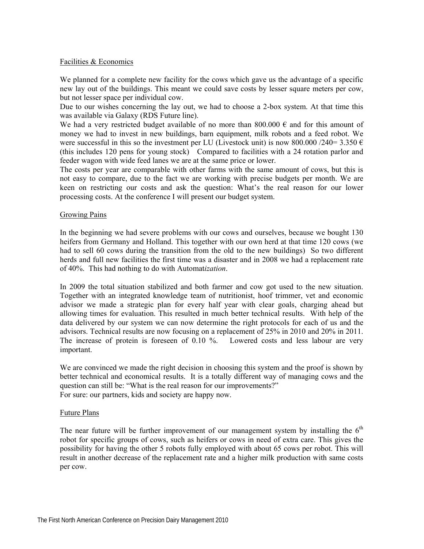### Facilities & Economics

We planned for a complete new facility for the cows which gave us the advantage of a specific new lay out of the buildings. This meant we could save costs by lesser square meters per cow, but not lesser space per individual cow.

Due to our wishes concerning the lay out, we had to choose a 2-box system. At that time this was available via Galaxy (RDS Future line).

We had a very restricted budget available of no more than 800.000  $\epsilon$  and for this amount of money we had to invest in new buildings, barn equipment, milk robots and a feed robot. We were successful in this so the investment per LU (Livestock unit) is now 800.000 /240= 3.350  $\epsilon$ (this includes 120 pens for young stock) Compared to facilities with a 24 rotation parlor and feeder wagon with wide feed lanes we are at the same price or lower.

The costs per year are comparable with other farms with the same amount of cows, but this is not easy to compare, due to the fact we are working with precise budgets per month. We are keen on restricting our costs and ask the question: What's the real reason for our lower processing costs. At the conference I will present our budget system.

#### Growing Pains

In the beginning we had severe problems with our cows and ourselves, because we bought 130 heifers from Germany and Holland. This together with our own herd at that time 120 cows (we had to sell 60 cows during the transition from the old to the new buildings) So two different herds and full new facilities the first time was a disaster and in 2008 we had a replacement rate of 40%. This had nothing to do with Automat*ization*.

In 2009 the total situation stabilized and both farmer and cow got used to the new situation. Together with an integrated knowledge team of nutritionist, hoof trimmer, vet and economic advisor we made a strategic plan for every half year with clear goals, charging ahead but allowing times for evaluation. This resulted in much better technical results. With help of the data delivered by our system we can now determine the right protocols for each of us and the advisors. Technical results are now focusing on a replacement of 25% in 2010 and 20% in 2011. The increase of protein is foreseen of 0.10 %. Lowered costs and less labour are very important.

We are convinced we made the right decision in choosing this system and the proof is shown by better technical and economical results. It is a totally different way of managing cows and the question can still be: "What is the real reason for our improvements?" For sure: our partners, kids and society are happy now.

#### Future Plans

The near future will be further improvement of our management system by installing the  $6<sup>th</sup>$ robot for specific groups of cows, such as heifers or cows in need of extra care. This gives the possibility for having the other 5 robots fully employed with about 65 cows per robot. This will result in another decrease of the replacement rate and a higher milk production with same costs per cow.